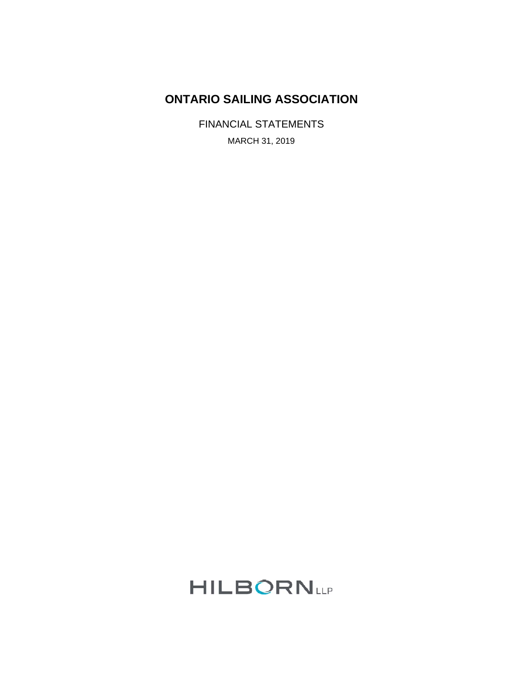FINANCIAL STATEMENTS MARCH 31, 2019

# **HILBORNLLP**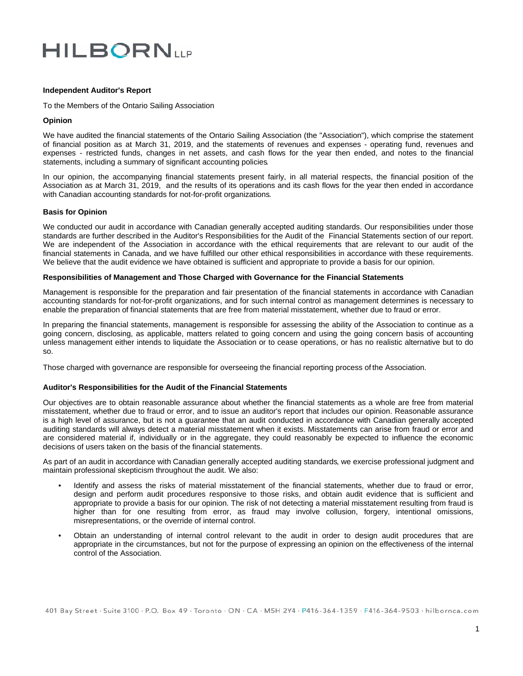# **HILBORNLLP**

#### **Independent Auditor's Report**

To the Members of the Ontario Sailing Association

#### **Opinion**

We have audited the financial statements of the Ontario Sailing Association (the "Association"), which comprise the statement of financial position as at March 31, 2019, and the statements of revenues and expenses - operating fund, revenues and expenses - restricted funds, changes in net assets, and cash flows for the year then ended, and notes to the financial statements, including a summary of significant accounting policies*.*

In our opinion, the accompanying financial statements present fairly, in all material respects, the financial position of the Association as at March 31, 2019, and the results of its operations and its cash flows for the year then ended in accordance with Canadian accounting standards for not-for-profit organizations.

#### **Basis for Opinion**

We conducted our audit in accordance with Canadian generally accepted auditing standards. Our responsibilities under those standards are further described in the Auditor's Responsibilities for the Audit of the Financial Statements section of our report. We are independent of the Association in accordance with the ethical requirements that are relevant to our audit of the financial statements in Canada, and we have fulfilled our other ethical responsibilities in accordance with these requirements. We believe that the audit evidence we have obtained is sufficient and appropriate to provide a basis for our opinion.

#### **Responsibilities of Management and Those Charged with Governance for the Financial Statements**

Management is responsible for the preparation and fair presentation of the financial statements in accordance with Canadian accounting standards for not-for-profit organizations, and for such internal control as management determines is necessary to enable the preparation of financial statements that are free from material misstatement, whether due to fraud or error.

In preparing the financial statements, management is responsible for assessing the ability of the Association to continue as a going concern, disclosing, as applicable, matters related to going concern and using the going concern basis of accounting unless management either intends to liquidate the Association or to cease operations, or has no realistic alternative but to do so.

Those charged with governance are responsible for overseeing the financial reporting process of the Association.

#### **Auditor's Responsibilities for the Audit of the Financial Statements**

Our objectives are to obtain reasonable assurance about whether the financial statements as a whole are free from material misstatement, whether due to fraud or error, and to issue an auditor's report that includes our opinion. Reasonable assurance is a high level of assurance, but is not a guarantee that an audit conducted in accordance with Canadian generally accepted auditing standards will always detect a material misstatement when it exists. Misstatements can arise from fraud or error and are considered material if, individually or in the aggregate, they could reasonably be expected to influence the economic decisions of users taken on the basis of the financial statements.

As part of an audit in accordance with Canadian generally accepted auditing standards, we exercise professional judgment and maintain professional skepticism throughout the audit. We also:

- Identify and assess the risks of material misstatement of the financial statements, whether due to fraud or error, design and perform audit procedures responsive to those risks, and obtain audit evidence that is sufficient and appropriate to provide a basis for our opinion. The risk of not detecting a material misstatement resulting from fraud is higher than for one resulting from error, as fraud may involve collusion, forgery, intentional omissions, misrepresentations, or the override of internal control.
- Obtain an understanding of internal control relevant to the audit in order to design audit procedures that are appropriate in the circumstances, but not for the purpose of expressing an opinion on the effectiveness of the internal control of the Association.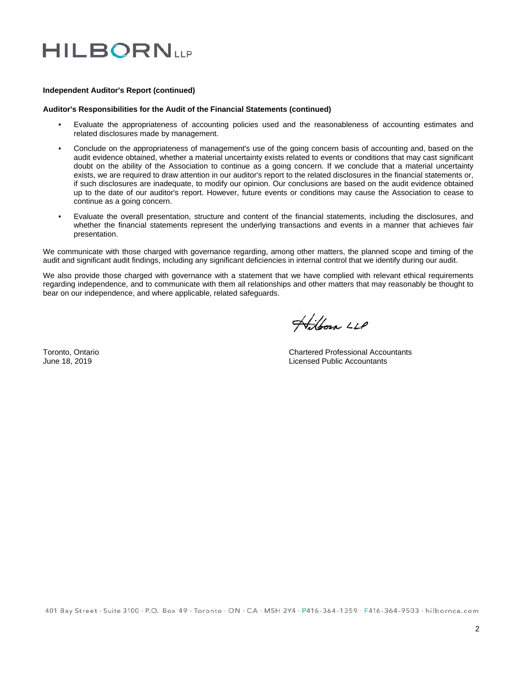## **HILBORNLIP**

#### **Independent Auditor's Report (continued)**

#### **Auditor's Responsibilities for the Audit of the Financial Statements (continued)**

- Evaluate the appropriateness of accounting policies used and the reasonableness of accounting estimates and related disclosures made by management.
- Conclude on the appropriateness of management's use of the going concern basis of accounting and, based on the audit evidence obtained, whether a material uncertainty exists related to events or conditions that may cast significant doubt on the ability of the Association to continue as a going concern. If we conclude that a material uncertainty exists, we are required to draw attention in our auditor's report to the related disclosures in the financial statements or, if such disclosures are inadequate, to modify our opinion. Our conclusions are based on the audit evidence obtained up to the date of our auditor's report. However, future events or conditions may cause the Association to cease to continue as a going concern.
- Evaluate the overall presentation, structure and content of the financial statements, including the disclosures, and whether the financial statements represent the underlying transactions and events in a manner that achieves fair presentation.

We communicate with those charged with governance regarding, among other matters, the planned scope and timing of the audit and significant audit findings, including any significant deficiencies in internal control that we identify during our audit.

We also provide those charged with governance with a statement that we have complied with relevant ethical requirements regarding independence, and to communicate with them all relationships and other matters that may reasonably be thought to bear on our independence, and where applicable, related safeguards.

Hilborn LLP

Toronto, Ontario Chartered Professional Accountants Licensed Public Accountants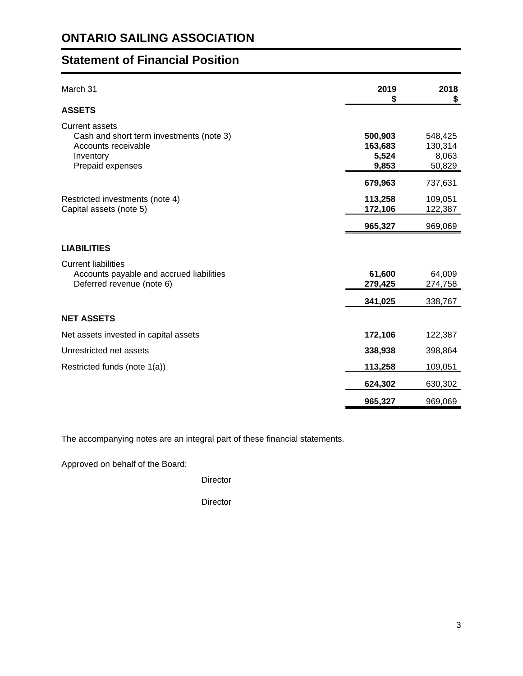## **Statement of Financial Position**

| March 31                                                                                                                  | 2019<br>\$                           | 2018<br>\$                            |
|---------------------------------------------------------------------------------------------------------------------------|--------------------------------------|---------------------------------------|
| <b>ASSETS</b>                                                                                                             |                                      |                                       |
| <b>Current assets</b><br>Cash and short term investments (note 3)<br>Accounts receivable<br>Inventory<br>Prepaid expenses | 500,903<br>163,683<br>5,524<br>9,853 | 548,425<br>130,314<br>8,063<br>50,829 |
|                                                                                                                           | 679,963                              | 737,631                               |
| Restricted investments (note 4)<br>Capital assets (note 5)                                                                | 113,258<br>172,106                   | 109,051<br>122,387                    |
|                                                                                                                           | 965,327                              | 969,069                               |
| <b>LIABILITIES</b>                                                                                                        |                                      |                                       |
| <b>Current liabilities</b><br>Accounts payable and accrued liabilities<br>Deferred revenue (note 6)                       | 61,600<br>279,425                    | 64,009<br>274,758                     |
|                                                                                                                           | 341,025                              | 338,767                               |
| <b>NET ASSETS</b>                                                                                                         |                                      |                                       |
| Net assets invested in capital assets                                                                                     | 172,106                              | 122,387                               |
| Unrestricted net assets                                                                                                   | 338,938                              | 398,864                               |
| Restricted funds (note 1(a))                                                                                              | 113,258                              | 109,051                               |
|                                                                                                                           | 624,302                              | 630,302                               |
|                                                                                                                           | 965,327                              | 969,069                               |

The accompanying notes are an integral part of these financial statements.

Approved on behalf of the Board:

**Director** 

Director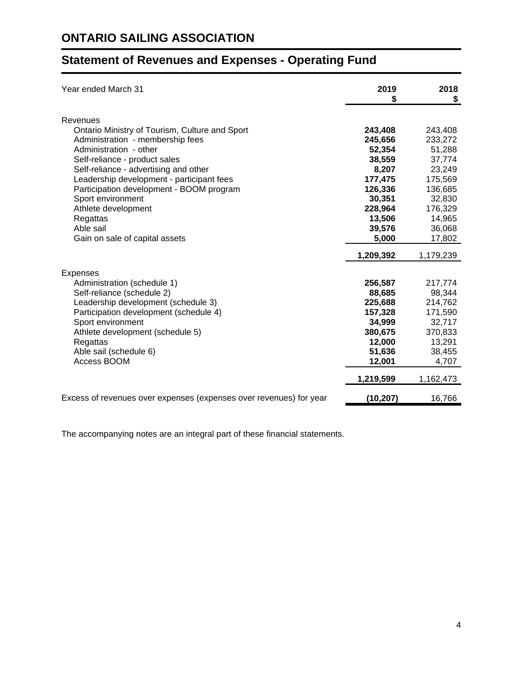## **Statement of Revenues and Expenses - Operating Fund**

| Year ended March 31                                                | 2019<br>S | 2018<br>\$ |
|--------------------------------------------------------------------|-----------|------------|
| Revenues                                                           | 243,408   | 243,408    |
| Ontario Ministry of Tourism, Culture and Sport                     | 245,656   | 233,272    |
| Administration - membership fees                                   | 52,354    | 51,288     |
| Administration - other                                             | 38,559    | 37,774     |
| Self-reliance - product sales                                      | 8,207     | 23,249     |
| Self-reliance - advertising and other                              | 177,475   | 175,569    |
| Leadership development - participant fees                          | 126,336   | 136,685    |
| Participation development - BOOM program                           | 30,351    | 32,830     |
| Sport environment                                                  | 228,964   | 176,329    |
| Athlete development                                                | 13,506    | 14,965     |
| Regattas                                                           | 39,576    | 36,068     |
| Able sail                                                          | 5,000     | 17,802     |
| Gain on sale of capital assets                                     | 1,209,392 | 1,179,239  |
| <b>Expenses</b>                                                    | 256,587   | 217,774    |
| Administration (schedule 1)                                        | 88,685    | 98,344     |
| Self-reliance (schedule 2)                                         | 225,688   | 214,762    |
| Leadership development (schedule 3)                                | 157,328   | 171,590    |
| Participation development (schedule 4)                             | 34,999    | 32,717     |
| Sport environment                                                  | 380,675   | 370,833    |
| Athlete development (schedule 5)                                   | 12,000    | 13,291     |
| Regattas                                                           | 51,636    | 38,455     |
| Able sail (schedule 6)                                             | 12,001    | 4,707      |
| Access BOOM                                                        | 1,219,599 | 1,162,473  |
| Excess of revenues over expenses (expenses over revenues) for year | (10, 207) | 16,766     |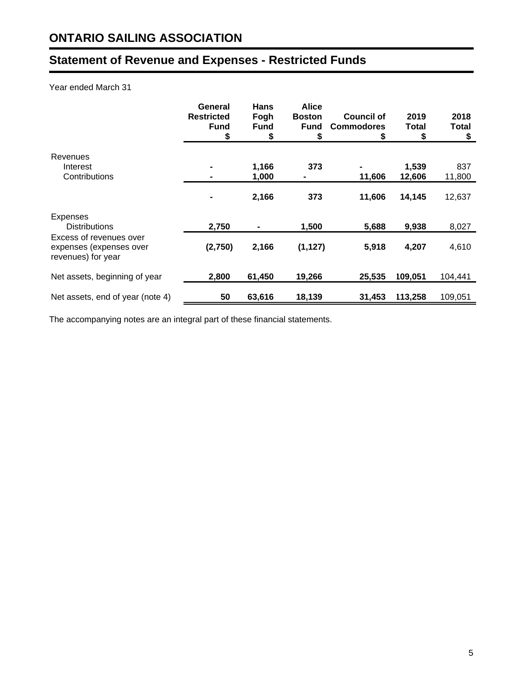## **Statement of Revenue and Expenses - Restricted Funds**

## Year ended March 31

|                                                                          | General<br><b>Restricted</b><br><b>Fund</b><br>\$ | <b>Hans</b><br>Fogh<br><b>Fund</b><br>\$ | <b>Alice</b><br><b>Boston</b><br><b>Fund</b><br>S | <b>Council of</b><br><b>Commodores</b><br>5 | 2019<br>Total<br>\$ | 2018<br><b>Total</b><br>\$ |
|--------------------------------------------------------------------------|---------------------------------------------------|------------------------------------------|---------------------------------------------------|---------------------------------------------|---------------------|----------------------------|
| Revenues<br>Interest<br>Contributions                                    |                                                   | 1,166<br>1,000                           | 373                                               | 11,606                                      | 1,539<br>12,606     | 837<br>11,800              |
|                                                                          |                                                   | 2,166                                    | 373                                               | 11,606                                      | 14,145              | 12,637                     |
| Expenses<br><b>Distributions</b>                                         | 2,750                                             |                                          | 1,500                                             | 5,688                                       | 9,938               | 8,027                      |
| Excess of revenues over<br>expenses (expenses over<br>revenues) for year | (2,750)                                           | 2,166                                    | (1, 127)                                          | 5,918                                       | 4,207               | 4,610                      |
| Net assets, beginning of year                                            | 2,800                                             | 61,450                                   | 19,266                                            | 25,535                                      | 109,051             | 104,441                    |
| Net assets, end of year (note 4)                                         | 50                                                | 63,616                                   | 18,139                                            | 31,453                                      | 113,258             | 109,051                    |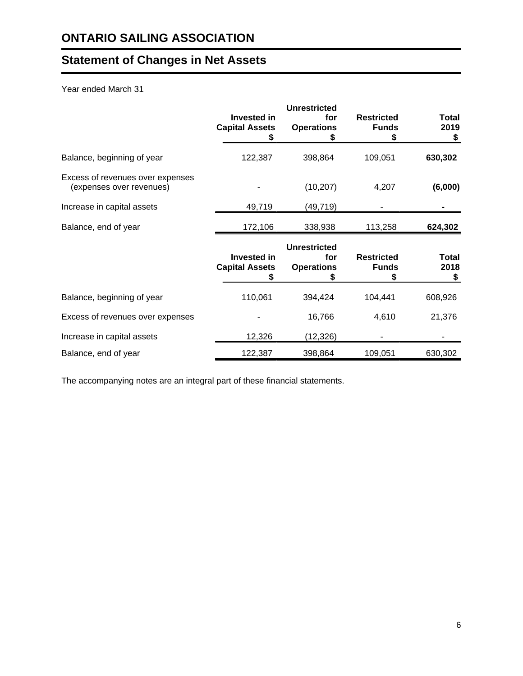## **Statement of Changes in Net Assets**

## Year ended March 31

|                                                              | <b>Invested in</b><br><b>Capital Assets</b> | <b>Unrestricted</b><br>for<br><b>Operations</b><br>S | <b>Restricted</b><br><b>Funds</b><br>5 | <b>Total</b><br>2019<br>S  |
|--------------------------------------------------------------|---------------------------------------------|------------------------------------------------------|----------------------------------------|----------------------------|
| Balance, beginning of year                                   | 122,387                                     | 398,864                                              | 109,051                                | 630,302                    |
| Excess of revenues over expenses<br>(expenses over revenues) |                                             | (10, 207)                                            | 4,207                                  | (6,000)                    |
| Increase in capital assets                                   | 49,719                                      | (49,719)                                             |                                        |                            |
| Balance, end of year                                         | 172,106                                     | 338,938                                              | 113,258                                | 624,302                    |
|                                                              | <b>Invested in</b><br><b>Capital Assets</b> | <b>Unrestricted</b><br>for<br><b>Operations</b><br>S | <b>Restricted</b><br><b>Funds</b>      | <b>Total</b><br>2018<br>\$ |
| Balance, beginning of year                                   | 110,061                                     | 394,424                                              | 104,441                                | 608,926                    |
| Excess of revenues over expenses                             |                                             | 16,766                                               | 4,610                                  | 21,376                     |
| Increase in capital assets                                   | 12,326                                      | (12, 326)                                            |                                        |                            |
| Balance, end of year                                         | 122,387                                     | 398,864                                              | 109,051                                | 630,302                    |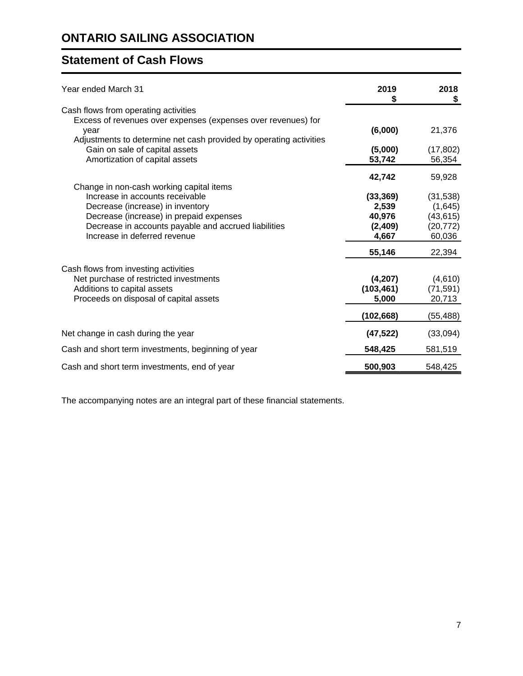## **Statement of Cash Flows**

| Year ended March 31                                                                                             | 2019<br>S                      | 2018<br>\$                     |
|-----------------------------------------------------------------------------------------------------------------|--------------------------------|--------------------------------|
| Cash flows from operating activities<br>Excess of revenues over expenses (expenses over revenues) for           |                                |                                |
| year<br>Adjustments to determine net cash provided by operating activities<br>Gain on sale of capital assets    | (6,000)<br>(5,000)             | 21,376<br>(17, 802)            |
| Amortization of capital assets                                                                                  | 53,742                         | 56,354                         |
| Change in non-cash working capital items                                                                        | 42,742                         | 59,928                         |
| Increase in accounts receivable<br>Decrease (increase) in inventory                                             | (33, 369)<br>2,539             | (31, 538)<br>(1,645)           |
| Decrease (increase) in prepaid expenses<br>Decrease in accounts payable and accrued liabilities                 | 40,976<br>(2,409)              | (43, 615)<br>(20, 772)         |
| Increase in deferred revenue                                                                                    | 4,667<br>55,146                | 60,036<br>22,394               |
| Cash flows from investing activities                                                                            |                                |                                |
| Net purchase of restricted investments<br>Additions to capital assets<br>Proceeds on disposal of capital assets | (4,207)<br>(103, 461)<br>5,000 | (4,610)<br>(71, 591)<br>20,713 |
|                                                                                                                 | (102,668)                      | <u>(55,488)</u>                |
| Net change in cash during the year                                                                              | (47, 522)                      | (33,094)                       |
| Cash and short term investments, beginning of year                                                              | 548,425                        | 581,519                        |
| Cash and short term investments, end of year                                                                    | 500,903                        | 548,425                        |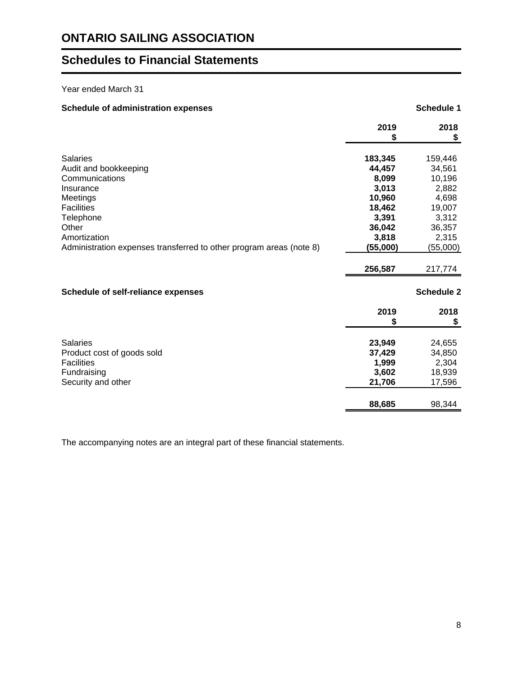## **Schedules to Financial Statements**

## Year ended March 31

## **Schedule of administration expenses Schedule 1** and the schedule 1 schedule 1

|                                                                     | 2019<br>\$ | 2018<br>\$        |
|---------------------------------------------------------------------|------------|-------------------|
| <b>Salaries</b>                                                     | 183,345    | 159,446           |
| Audit and bookkeeping                                               | 44,457     | 34,561            |
| Communications                                                      | 8,099      | 10,196            |
| Insurance                                                           | 3,013      | 2,882             |
| Meetings                                                            | 10,960     | 4,698             |
| <b>Facilities</b>                                                   | 18,462     | 19,007            |
| Telephone                                                           | 3,391      | 3,312             |
| Other                                                               | 36,042     | 36,357            |
| Amortization                                                        | 3,818      | 2,315             |
| Administration expenses transferred to other program areas (note 8) | (55,000)   | (55,000)          |
|                                                                     | 256,587    | 217,774           |
| Schedule of self-reliance expenses                                  |            | <b>Schedule 2</b> |
|                                                                     | 2019       | 2018              |
|                                                                     | \$         | S                 |
| <b>Salaries</b>                                                     | 23,949     | 24,655            |
| Product cost of goods sold                                          | 37,429     | 34,850            |
| <b>Facilities</b>                                                   | 1,999      | 2,304             |
| Fundraising                                                         | 3,602      | 18,939            |
| Security and other                                                  | 21,706     | 17,596            |
|                                                                     | 88,685     | 98,344            |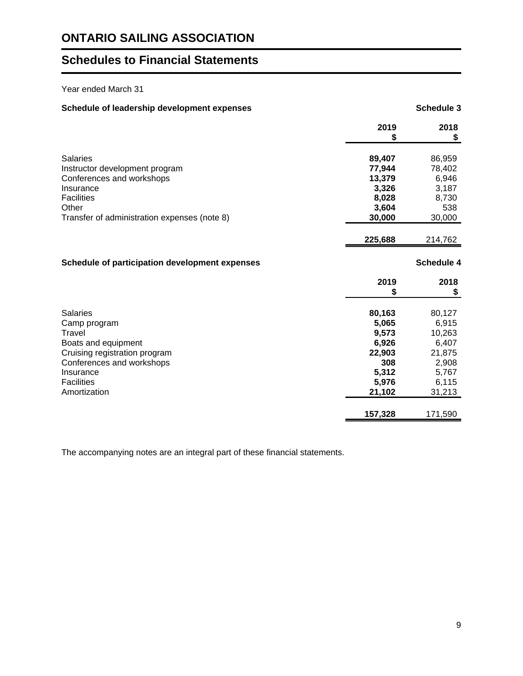## **Schedules to Financial Statements**

## Year ended March 31

## Schedule of leadership development expenses **Schedule 3** Schedule 3

|                                                | 2019<br>S      | 2018<br>\$        |
|------------------------------------------------|----------------|-------------------|
|                                                |                |                   |
| Salaries                                       | 89,407         | 86,959            |
| Instructor development program                 | 77,944         | 78,402            |
| Conferences and workshops                      | 13,379         | 6,946             |
| Insurance                                      | 3,326          | 3,187             |
| <b>Facilities</b>                              | 8,028          | 8,730             |
| Other                                          | 3,604          | 538               |
| Transfer of administration expenses (note 8)   | 30,000         | 30,000            |
|                                                | 225,688        | 214,762           |
| Schedule of participation development expenses |                | <b>Schedule 4</b> |
|                                                | 2019           | 2018              |
|                                                | S              | \$                |
| <b>Salaries</b>                                |                |                   |
|                                                | 80,163         | 80,127            |
| Camp program<br>Travel                         | 5,065          | 6,915             |
|                                                | 9,573<br>6,926 | 10,263<br>6,407   |
| Boats and equipment                            | 22,903         | 21,875            |
| Cruising registration program                  | 308            |                   |
| Conferences and workshops                      | 5,312          | 2,908             |
| Insurance<br><b>Facilities</b>                 | 5,976          | 5,767<br>6,115    |
|                                                |                |                   |
| Amortization                                   | 21,102         | 31,213            |
|                                                | 157,328        | 171,590           |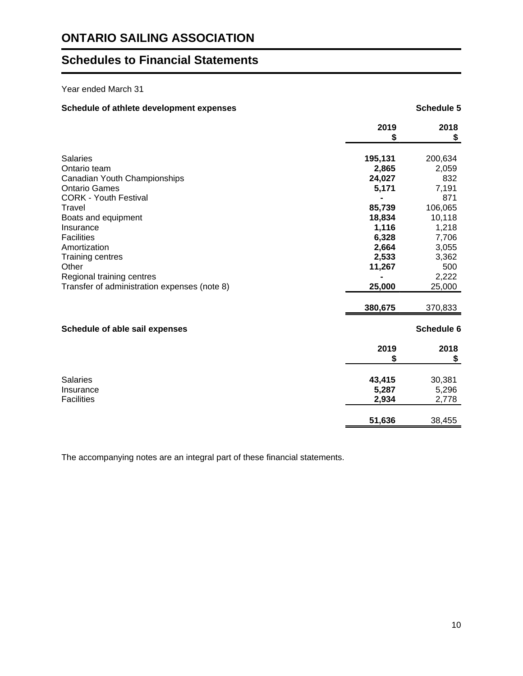## **Schedules to Financial Statements**

## Year ended March 31

## Schedule of athlete development expenses **Schedule 5** Schedule 5

|                                                                                                                                                                                        | 2019<br>S                                                      | 2018<br>\$                                                           |
|----------------------------------------------------------------------------------------------------------------------------------------------------------------------------------------|----------------------------------------------------------------|----------------------------------------------------------------------|
| <b>Salaries</b><br>Ontario team<br>Canadian Youth Championships<br><b>Ontario Games</b><br><b>CORK - Youth Festival</b><br>Travel                                                      | 195,131<br>2,865<br>24,027<br>5,171<br>85,739                  | 200,634<br>2,059<br>832<br>7,191<br>871<br>106,065                   |
| Boats and equipment<br>Insurance<br><b>Facilities</b><br>Amortization<br><b>Training centres</b><br>Other<br>Regional training centres<br>Transfer of administration expenses (note 8) | 18,834<br>1,116<br>6,328<br>2,664<br>2,533<br>11,267<br>25,000 | 10,118<br>1,218<br>7,706<br>3,055<br>3,362<br>500<br>2,222<br>25,000 |
|                                                                                                                                                                                        | 380,675                                                        | 370,833                                                              |
| Schedule of able sail expenses                                                                                                                                                         |                                                                | Schedule 6                                                           |
|                                                                                                                                                                                        | 2019<br>\$                                                     | 2018<br>\$                                                           |
| <b>Salaries</b><br>Insurance<br><b>Facilities</b>                                                                                                                                      | 43,415<br>5,287<br>2,934                                       | 30,381<br>5,296<br>2,778                                             |
|                                                                                                                                                                                        | 51,636                                                         | 38,455                                                               |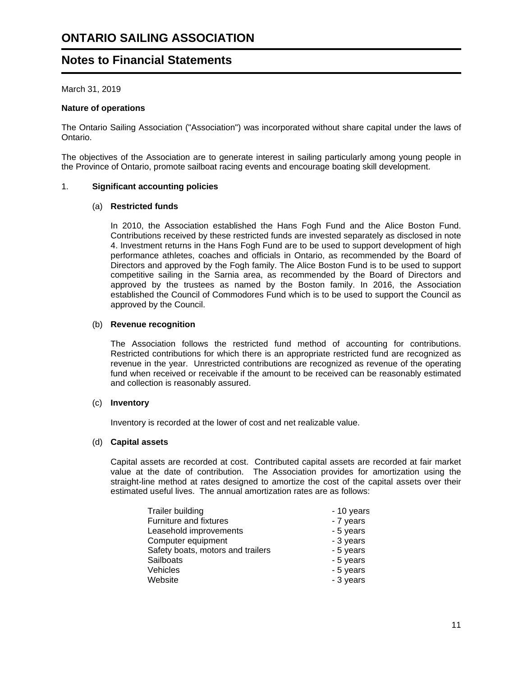## **Notes to Financial Statements**

March 31, 2019

## **Nature of operations**

The Ontario Sailing Association ("Association") was incorporated without share capital under the laws of Ontario.

The objectives of the Association are to generate interest in sailing particularly among young people in the Province of Ontario, promote sailboat racing events and encourage boating skill development.

## 1. **Significant accounting policies**

## (a) **Restricted funds**

In 2010, the Association established the Hans Fogh Fund and the Alice Boston Fund. Contributions received by these restricted funds are invested separately as disclosed in note 4. Investment returns in the Hans Fogh Fund are to be used to support development of high performance athletes, coaches and officials in Ontario, as recommended by the Board of Directors and approved by the Fogh family. The Alice Boston Fund is to be used to support competitive sailing in the Sarnia area, as recommended by the Board of Directors and approved by the trustees as named by the Boston family. In 2016, the Association established the Council of Commodores Fund which is to be used to support the Council as approved by the Council.

## (b) **Revenue recognition**

The Association follows the restricted fund method of accounting for contributions. Restricted contributions for which there is an appropriate restricted fund are recognized as revenue in the year. Unrestricted contributions are recognized as revenue of the operating fund when received or receivable if the amount to be received can be reasonably estimated and collection is reasonably assured.

## (c) **Inventory**

Inventory is recorded at the lower of cost and net realizable value.

## (d) **Capital assets**

Capital assets are recorded at cost. Contributed capital assets are recorded at fair market value at the date of contribution. The Association provides for amortization using the straight-line method at rates designed to amortize the cost of the capital assets over their estimated useful lives. The annual amortization rates are as follows:

| - 10 years |
|------------|
| - 7 years  |
| - 5 years  |
| - 3 years  |
| - 5 years  |
| - 5 years  |
| - 5 years  |
| - 3 years  |
|            |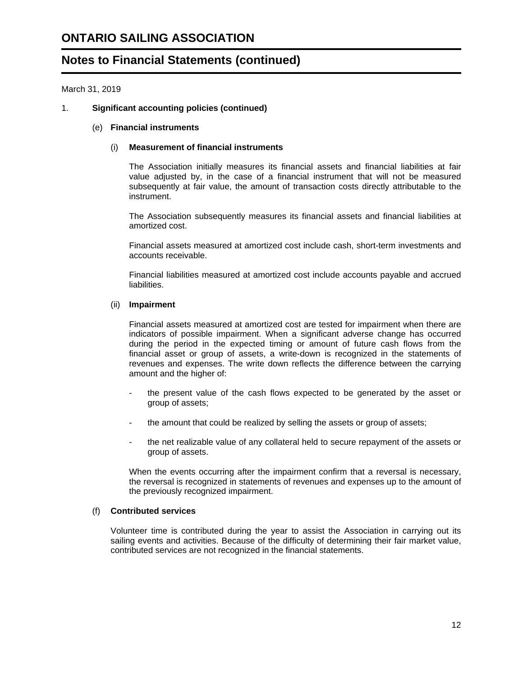## **Notes to Financial Statements (continued)**

March 31, 2019

## 1. **Significant accounting policies (continued)**

#### (e) **Financial instruments**

## (i) **Measurement of financial instruments**

The Association initially measures its financial assets and financial liabilities at fair value adjusted by, in the case of a financial instrument that will not be measured subsequently at fair value, the amount of transaction costs directly attributable to the instrument.

The Association subsequently measures its financial assets and financial liabilities at amortized cost.

Financial assets measured at amortized cost include cash, short-term investments and accounts receivable.

Financial liabilities measured at amortized cost include accounts payable and accrued liabilities.

#### (ii) **Impairment**

Financial assets measured at amortized cost are tested for impairment when there are indicators of possible impairment. When a significant adverse change has occurred during the period in the expected timing or amount of future cash flows from the financial asset or group of assets, a write-down is recognized in the statements of revenues and expenses. The write down reflects the difference between the carrying amount and the higher of:

- the present value of the cash flows expected to be generated by the asset or group of assets;
- the amount that could be realized by selling the assets or group of assets;
- the net realizable value of any collateral held to secure repayment of the assets or group of assets.

When the events occurring after the impairment confirm that a reversal is necessary, the reversal is recognized in statements of revenues and expenses up to the amount of the previously recognized impairment.

#### (f) **Contributed services**

Volunteer time is contributed during the year to assist the Association in carrying out its sailing events and activities. Because of the difficulty of determining their fair market value, contributed services are not recognized in the financial statements.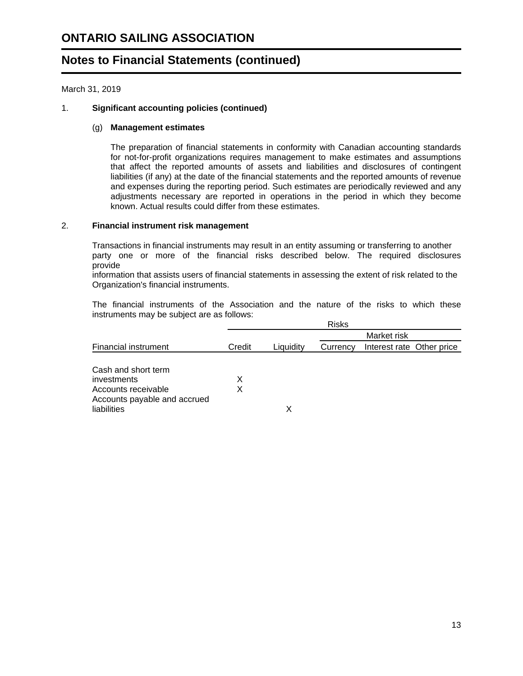## **Notes to Financial Statements (continued)**

March 31, 2019

## 1. **Significant accounting policies (continued)**

#### (g) **Management estimates**

The preparation of financial statements in conformity with Canadian accounting standards for not-for-profit organizations requires management to make estimates and assumptions that affect the reported amounts of assets and liabilities and disclosures of contingent liabilities (if any) at the date of the financial statements and the reported amounts of revenue and expenses during the reporting period. Such estimates are periodically reviewed and any adjustments necessary are reported in operations in the period in which they become known. Actual results could differ from these estimates.

## 2. **Financial instrument risk management**

Transactions in financial instruments may result in an entity assuming or transferring to another party one or more of the financial risks described below. The required disclosures provide

information that assists users of financial statements in assessing the extent of risk related to the Organization's financial instruments.

The financial instruments of the Association and the nature of the risks to which these instruments may be subject are as follows: Risks

|                                                                                                          |        |           | <b>RISKS</b> |                           |  |
|----------------------------------------------------------------------------------------------------------|--------|-----------|--------------|---------------------------|--|
|                                                                                                          |        |           |              | Market risk               |  |
| <b>Financial instrument</b>                                                                              | Credit | Liquidity | Currency     | Interest rate Other price |  |
| Cash and short term<br>investments<br>Accounts receivable<br>Accounts payable and accrued<br>liabilities | X<br>X | X         |              |                           |  |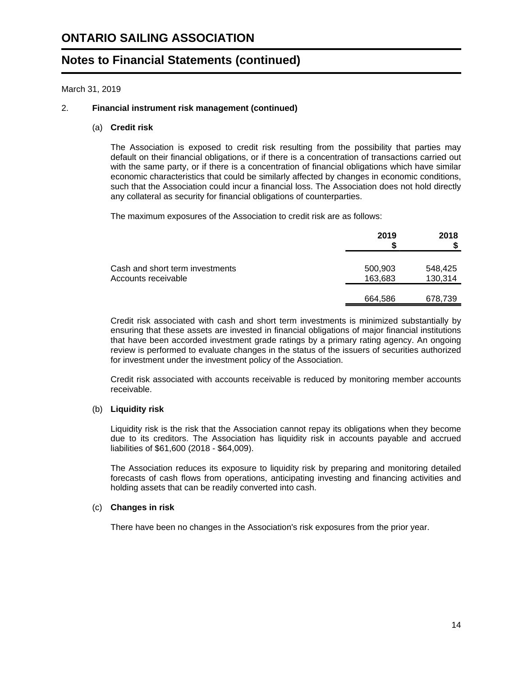## **Notes to Financial Statements (continued)**

March 31, 2019

## 2. **Financial instrument risk management (continued)**

#### (a) **Credit risk**

The Association is exposed to credit risk resulting from the possibility that parties may default on their financial obligations, or if there is a concentration of transactions carried out with the same party, or if there is a concentration of financial obligations which have similar economic characteristics that could be similarly affected by changes in economic conditions, such that the Association could incur a financial loss. The Association does not hold directly any collateral as security for financial obligations of counterparties.

The maximum exposures of the Association to credit risk are as follows:

|                                                        | 2019               | 2018               |
|--------------------------------------------------------|--------------------|--------------------|
| Cash and short term investments<br>Accounts receivable | 500,903<br>163,683 | 548,425<br>130,314 |
|                                                        | 664,586            | 678,739            |

Credit risk associated with cash and short term investments is minimized substantially by ensuring that these assets are invested in financial obligations of major financial institutions that have been accorded investment grade ratings by a primary rating agency. An ongoing review is performed to evaluate changes in the status of the issuers of securities authorized for investment under the investment policy of the Association.

Credit risk associated with accounts receivable is reduced by monitoring member accounts receivable.

## (b) **Liquidity risk**

Liquidity risk is the risk that the Association cannot repay its obligations when they become due to its creditors. The Association has liquidity risk in accounts payable and accrued liabilities of \$61,600 (2018 - \$64,009).

The Association reduces its exposure to liquidity risk by preparing and monitoring detailed forecasts of cash flows from operations, anticipating investing and financing activities and holding assets that can be readily converted into cash.

## (c) **Changes in risk**

There have been no changes in the Association's risk exposures from the prior year.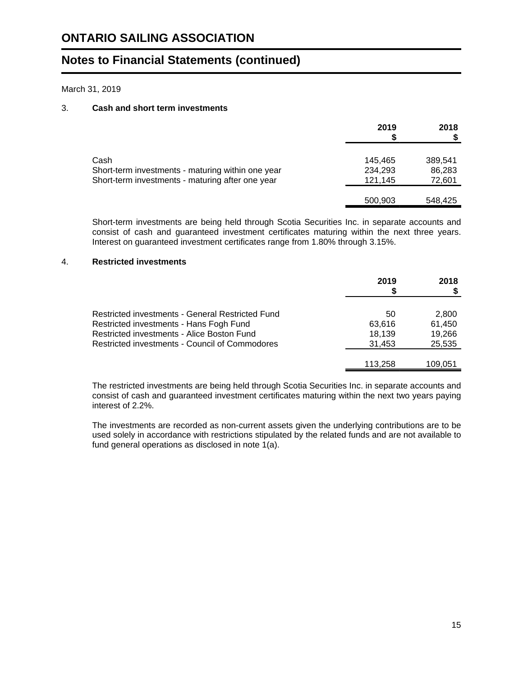## **Notes to Financial Statements (continued)**

## March 31, 2019

## 3. **Cash and short term investments**

|                                                   | 2019    | 2018    |
|---------------------------------------------------|---------|---------|
| Cash                                              | 145.465 | 389,541 |
| Short-term investments - maturing within one year | 234,293 | 86,283  |
| Short-term investments - maturing after one year  | 121,145 | 72,601  |
|                                                   | 500,903 | 548,425 |

Short-term investments are being held through Scotia Securities Inc. in separate accounts and consist of cash and guaranteed investment certificates maturing within the next three years. Interest on guaranteed investment certificates range from 1.80% through 3.15%.

## 4. **Restricted investments**

|                                                  | 2019    | 2018    |
|--------------------------------------------------|---------|---------|
| Restricted investments - General Restricted Fund | 50      | 2,800   |
| Restricted investments - Hans Fogh Fund          | 63,616  | 61,450  |
| Restricted investments - Alice Boston Fund       | 18,139  | 19,266  |
| Restricted investments - Council of Commodores   | 31,453  | 25,535  |
|                                                  |         |         |
|                                                  | 113.258 | 109.051 |

The restricted investments are being held through Scotia Securities Inc. in separate accounts and consist of cash and guaranteed investment certificates maturing within the next two years paying interest of 2.2%.

The investments are recorded as non-current assets given the underlying contributions are to be used solely in accordance with restrictions stipulated by the related funds and are not available to fund general operations as disclosed in note 1(a).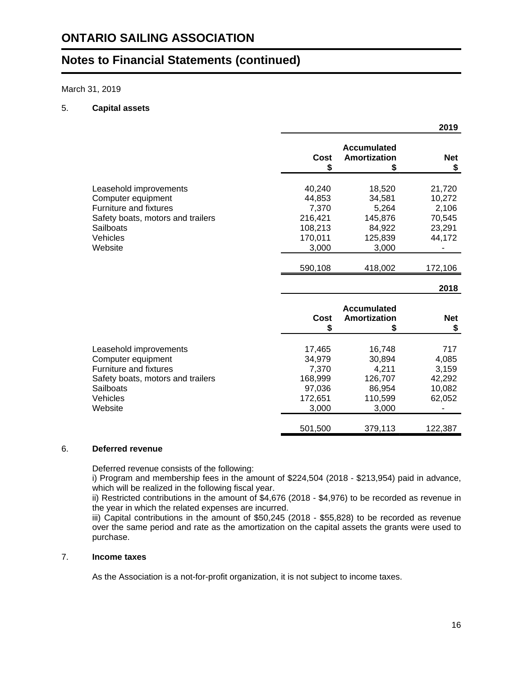## **Notes to Financial Statements (continued)**

March 31, 2019

## 5. **Capital assets**

|                                   |            |                                                | 2019             |
|-----------------------------------|------------|------------------------------------------------|------------------|
|                                   | Cost<br>\$ | <b>Accumulated</b><br><b>Amortization</b><br>S | <b>Net</b><br>\$ |
|                                   |            |                                                |                  |
| Leasehold improvements            | 40,240     | 18,520                                         | 21,720           |
| Computer equipment                | 44,853     | 34,581                                         | 10,272           |
| Furniture and fixtures            | 7,370      | 5,264                                          | 2,106            |
| Safety boats, motors and trailers | 216,421    | 145,876                                        | 70,545           |
| Sailboats                         | 108,213    | 84,922                                         | 23,291           |
| Vehicles                          | 170,011    | 125,839                                        | 44,172           |
| Website                           | 3,000      | 3,000                                          |                  |
|                                   | 590,108    | 418,002                                        | 172,106          |
|                                   |            |                                                | 2018             |
|                                   |            |                                                |                  |
|                                   | Cost       | <b>Accumulated</b><br><b>Amortization</b>      | <b>Net</b>       |
|                                   | \$         | \$                                             | \$               |
| Leasehold improvements            | 17,465     | 16,748                                         | 717              |
| Computer equipment                | 34,979     | 30,894                                         | 4,085            |
| <b>Furniture and fixtures</b>     | 7,370      | 4,211                                          | 3,159            |
| Safety boats, motors and trailers | 168,999    | 126,707                                        | 42,292           |
| Sailboats                         | 97,036     | 86,954                                         | 10,082           |
| Vehicles                          | 172,651    | 110,599                                        | 62,052           |
| Website                           | 3,000      | 3,000                                          |                  |

## 6. **Deferred revenue**

Deferred revenue consists of the following:

i) Program and membership fees in the amount of \$224,504 (2018 - \$213,954) paid in advance, which will be realized in the following fiscal year.

ii) Restricted contributions in the amount of \$4,676 (2018 - \$4,976) to be recorded as revenue in the year in which the related expenses are incurred.

iii) Capital contributions in the amount of  $$50,245$  (2018 -  $$55,828$ ) to be recorded as revenue over the same period and rate as the amortization on the capital assets the grants were used to purchase.

## 7. **Income taxes**

As the Association is a not-for-profit organization, it is not subject to income taxes.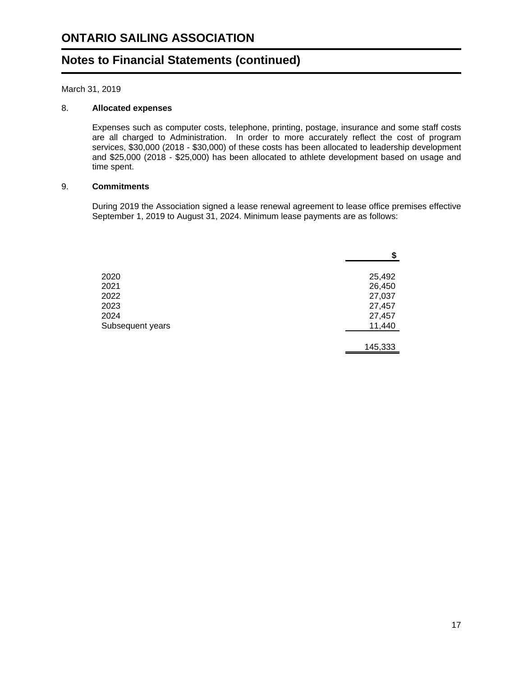## **Notes to Financial Statements (continued)**

March 31, 2019

## 8. **Allocated expenses**

Expenses such as computer costs, telephone, printing, postage, insurance and some staff costs are all charged to Administration. In order to more accurately reflect the cost of program services, \$30,000 (2018 - \$30,000) of these costs has been allocated to leadership development and \$25,000 (2018 - \$25,000) has been allocated to athlete development based on usage and time spent.

## 9. **Commitments**

During 2019 the Association signed a lease renewal agreement to lease office premises effective September 1, 2019 to August 31, 2024. Minimum lease payments are as follows:

|                  | \$      |
|------------------|---------|
|                  |         |
| 2020             | 25,492  |
| 2021             | 26,450  |
| 2022             | 27,037  |
| 2023             | 27,457  |
| 2024             | 27,457  |
| Subsequent years | 11,440  |
|                  |         |
|                  | 145,333 |